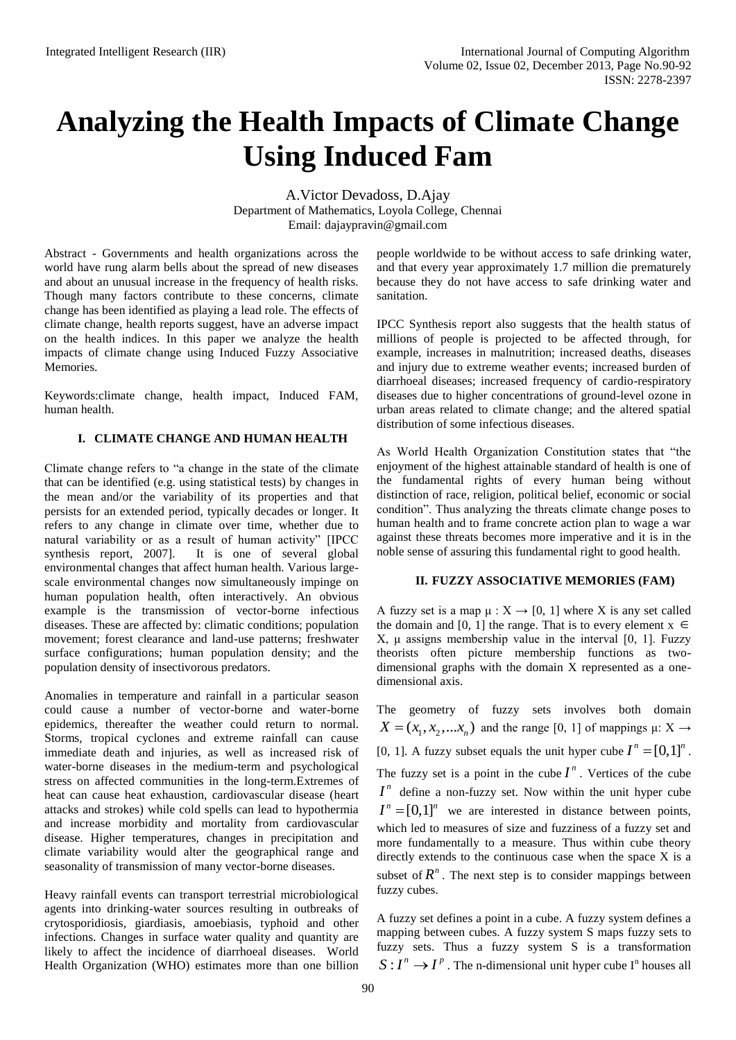# **Analyzing the Health Impacts of Climate Change Using Induced Fam**

A.Victor Devadoss, D.Ajay Department of Mathematics, Loyola College, Chennai Email: [dajaypravin@gmail.com](mailto:dajaypravin@gmail.com)

Abstract - Governments and health organizations across the world have rung alarm bells about the spread of new diseases and about an unusual increase in the frequency of health risks. Though many factors contribute to these concerns, climate change has been identified as playing a lead role. The effects of climate change, health reports suggest, have an adverse impact on the health indices. In this paper we analyze the health impacts of climate change using Induced Fuzzy Associative Memories.

Keywords:climate change, health impact, Induced FAM, human health.

## **I. CLIMATE CHANGE AND HUMAN HEALTH**

Climate change refers to "a change in the state of the climate that can be identified (e.g. using statistical tests) by changes in the mean and/or the variability of its properties and that persists for an extended period, typically decades or longer. It refers to any change in climate over time, whether due to natural variability or as a result of human activity" [IPCC synthesis report, 2007]. It is one of several global environmental changes that affect human health. Various largescale environmental changes now simultaneously impinge on human population health, often interactively. An obvious example is the transmission of vector-borne infectious diseases. These are affected by: climatic conditions; population movement; forest clearance and land-use patterns; freshwater surface configurations; human population density; and the population density of insectivorous predators.

Anomalies in temperature and rainfall in a particular season could cause a number of vector-borne and water-borne epidemics, thereafter the weather could return to normal. Storms, tropical cyclones and extreme rainfall can cause immediate death and injuries, as well as increased risk of water-borne diseases in the medium-term and psychological stress on affected communities in the long-term.Extremes of heat can cause heat exhaustion, cardiovascular disease (heart attacks and strokes) while cold spells can lead to hypothermia and increase morbidity and mortality from cardiovascular disease. Higher temperatures, changes in precipitation and climate variability would alter the geographical range and seasonality of transmission of many vector-borne diseases.

Heavy rainfall events can transport terrestrial microbiological agents into drinking-water sources resulting in outbreaks of crytosporidiosis, giardiasis, amoebiasis, typhoid and other infections. Changes in surface water quality and quantity are likely to affect the incidence of diarrhoeal diseases. World Health Organization (WHO) estimates more than one billion people worldwide to be without access to safe drinking water, and that every year approximately 1.7 million die prematurely because they do not have access to safe drinking water and sanitation.

IPCC Synthesis report also suggests that the health status of millions of people is projected to be affected through, for example, increases in malnutrition; increased deaths, diseases and injury due to extreme weather events; increased burden of diarrhoeal diseases; increased frequency of cardio-respiratory diseases due to higher concentrations of ground-level ozone in urban areas related to climate change; and the altered spatial distribution of some infectious diseases.

As World Health Organization Constitution states that "the enjoyment of the highest attainable standard of health is one of the fundamental rights of every human being without distinction of race, religion, political belief, economic or social condition". Thus analyzing the threats climate change poses to human health and to frame concrete action plan to wage a war against these threats becomes more imperative and it is in the noble sense of assuring this fundamental right to good health.

## **II. FUZZY ASSOCIATIVE MEMORIES (FAM)**

A fuzzy set is a map  $\mu : X \to [0, 1]$  where X is any set called the domain and [0, 1] the range. That is to every element  $x \in$ X, μ assigns membership value in the interval [0, 1]. Fuzzy theorists often picture membership functions as twodimensional graphs with the domain X represented as a onedimensional axis.

The geometry of fuzzy sets involves both domain  $X = (x_1, x_2, \dots, x_n)$  and the range [0, 1] of mappings  $\mu: X \to Y$ [0, 1]. A fuzzy subset equals the unit hyper cube  $I^n = [0,1]^n$ . The fuzzy set is a point in the cube  $I^n$ . Vertices of the cube  $I<sup>n</sup>$  define a non-fuzzy set. Now within the unit hyper cube  $I^n = [0,1]^n$  we are interested in distance between points, which led to measures of size and fuzziness of a fuzzy set and more fundamentally to a measure. Thus within cube theory directly extends to the continuous case when the space X is a subset of  $R^n$ . The next step is to consider mappings between fuzzy cubes.

A fuzzy set defines a point in a cube. A fuzzy system defines a mapping between cubes. A fuzzy system S maps fuzzy sets to fuzzy sets. Thus a fuzzy system S is a transformation  $S: I^n \to I^p$ . The n-dimensional unit hyper cube I<sup>n</sup> houses all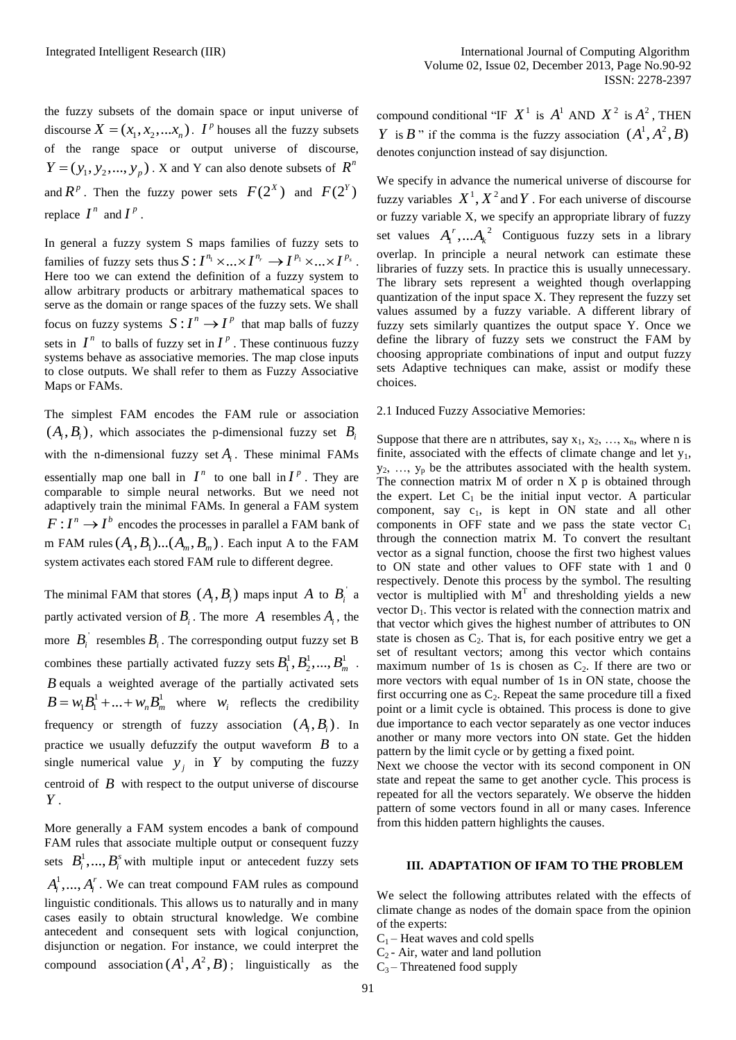the fuzzy subsets of the domain space or input universe of discourse  $X = (x_1, x_2, \dots, x_n)$ . *I*<sup>*p*</sup> houses all the fuzzy subsets of the range space or output universe of discourse,  $Y = (y_1, y_2, \dots, y_p)$ . X and Y can also denote subsets of  $R^n$ and  $R^p$ . Then the fuzzy power sets  $F(2^X)$  and  $F(2^Y)$ replace  $I^n$  and  $I^p$ .

In general a fuzzy system S maps families of fuzzy sets to In general a fuzzy system S maps families of fuzzy sets to families of fuzzy sets thus  $S: I^{n_1} \times ... \times I^{n_r} \to I^{p_1} \times ... \times I^{p_s}$ . Here too we can extend the definition of a fuzzy system to allow arbitrary products or arbitrary mathematical spaces to serve as the domain or range spaces of the fuzzy sets. We shall focus on fuzzy systems  $S: I^n \to I^p$  that map balls of fuzzy sets in  $I^n$  to balls of fuzzy set in  $I^p$ . These continuous fuzzy systems behave as associative memories. The map close inputs to close outputs. We shall refer to them as Fuzzy Associative Maps or FAMs.

The simplest FAM encodes the FAM rule or association  $(A_i, B_i)$ , which associates the p-dimensional fuzzy set  $B_i$ with the n-dimensional fuzzy set  $A_i$ . These minimal FAMs essentially map one ball in  $I^n$  to one ball in  $I^p$ . They are comparable to simple neural networks. But we need not adaptively train the minimal FAMs. In general a FAM system  $F: I^n \to I^b$  encodes the processes in parallel a FAM bank of m FAM rules  $(A_1, B_1)$ ... $(A_m, B_m)$ . Each input A to the FAM system activates each stored FAM rule to different degree.

The minimal FAM that stores  $(A_i, B_i)$  maps input A to  $B_i^{\dagger}$  a partly activated version of  $B_i$ . The more A resembles  $A_i$ , the more  $B_i$ <sup>'</sup> resembles  $B_i$ . The corresponding output fuzzy set B combines these partially activated fuzzy sets  $B_1^1, B_2^1, ..., B_m^1$ . *B* equals a weighted average of the partially activated sets  $B = w_1 B_1^1 + ... + w_n B_m^1$  where  $w_i$  reflects the credibility frequency or strength of fuzzy association  $(A_i, B_i)$ . In practice we usually defuzzify the output waveform  $\hat{B}$  to a single numerical value  $y_j$  in Y by computing the fuzzy centroid of  $\bm{B}$  with respect to the output universe of discourse *Y* .

More generally a FAM system encodes a bank of compound FAM rules that associate multiple output or consequent fuzzy sets  $B_i^1, ..., B_i^s$  with multiple input or antecedent fuzzy sets  $A_i^1, ..., A_i^r$ . We can treat compound FAM rules as compound linguistic conditionals. This allows us to naturally and in many cases easily to obtain structural knowledge. We combine antecedent and consequent sets with logical conjunction, disjunction or negation. For instance, we could interpret the compound association  $(A^1, A^2, B)$ ; linguistically as the compound conditional "IF  $X^1$  is  $A^1$  AND  $X^2$  is  $A^2$ , THEN *Y* is *B*<sup> $\cdot$ </sup> if the comma is the fuzzy association  $(A^1, A^2, B)$ denotes conjunction instead of say disjunction.

We specify in advance the numerical universe of discourse for fuzzy variables  $X^1$ ,  $X^2$  and Y . For each universe of discourse or fuzzy variable X, we specify an appropriate library of fuzzy set values  $A_i^r, ... A_k^2$  $A_1^r$ ,... $A_k^2$  Contiguous fuzzy sets in a library overlap. In principle a neural network can estimate these libraries of fuzzy sets. In practice this is usually unnecessary. The library sets represent a weighted though overlapping quantization of the input space X. They represent the fuzzy set values assumed by a fuzzy variable. A different library of fuzzy sets similarly quantizes the output space Y. Once we define the library of fuzzy sets we construct the FAM by choosing appropriate combinations of input and output fuzzy sets Adaptive techniques can make, assist or modify these choices.

#### 2.1 Induced Fuzzy Associative Memories:

Suppose that there are n attributes, say  $x_1, x_2, ..., x_n$ , where n is finite, associated with the effects of climate change and let  $y_1$ ,  $y_2, \ldots, y_p$  be the attributes associated with the health system. The connection matrix  $M$  of order  $n \times p$  is obtained through the expert. Let  $C_1$  be the initial input vector. A particular component, say  $c_1$ , is kept in ON state and all other components in OFF state and we pass the state vector  $C_1$ through the connection matrix M. To convert the resultant vector as a signal function, choose the first two highest values to ON state and other values to OFF state with 1 and 0 respectively. Denote this process by the symbol. The resulting vector is multiplied with  $M<sup>T</sup>$  and thresholding yields a new vector  $D_1$ . This vector is related with the connection matrix and that vector which gives the highest number of attributes to ON state is chosen as  $C_2$ . That is, for each positive entry we get a set of resultant vectors; among this vector which contains maximum number of 1s is chosen as  $C_2$ . If there are two or more vectors with equal number of 1s in ON state, choose the first occurring one as  $C_2$ . Repeat the same procedure till a fixed point or a limit cycle is obtained. This process is done to give due importance to each vector separately as one vector induces another or many more vectors into ON state. Get the hidden pattern by the limit cycle or by getting a fixed point.

Next we choose the vector with its second component in ON state and repeat the same to get another cycle. This process is repeated for all the vectors separately. We observe the hidden pattern of some vectors found in all or many cases. Inference from this hidden pattern highlights the causes.

#### **III. ADAPTATION OF IFAM TO THE PROBLEM**

We select the following attributes related with the effects of climate change as nodes of the domain space from the opinion of the experts:

- $C_1$  Heat waves and cold spells
- $C_2$  Air, water and land pollution
- $C_3$  Threatened food supply